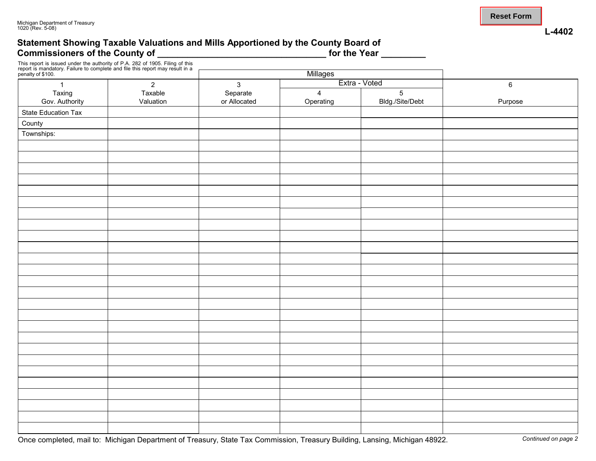#### **Statement Showing Taxable Valuations and Mills Apportioned by the County Board of** Commissioners of the County of **Landsler Commissioners of the County of**  Landsler Commissioners of the County of

This report is issued under the authority of P.A. 282 of 1905. Filing of this report is mandatory. Failure to complete and file this report may result in a

| penalty of \$100.<br>and the con-<br>$\sim$ |                |                               | <u>Millages</u> |                      |         |  |  |
|---------------------------------------------|----------------|-------------------------------|-----------------|----------------------|---------|--|--|
| $\mathbf{1}$                                | $\overline{2}$ | Extra - Voted<br>$\mathbf{3}$ |                 |                      | $\,6\,$ |  |  |
|                                             | Taxable        |                               | $\overline{4}$  |                      |         |  |  |
| Taxing<br>Gov. Authority                    | Valuation      | Separate<br>or Allocated      | Operating       | 5<br>Bldg./Site/Debt | Purpose |  |  |
| State Education Tax                         |                |                               |                 |                      |         |  |  |
| County                                      |                |                               |                 |                      |         |  |  |
| Townships:                                  |                |                               |                 |                      |         |  |  |
|                                             |                |                               |                 |                      |         |  |  |
|                                             |                |                               |                 |                      |         |  |  |
|                                             |                |                               |                 |                      |         |  |  |
|                                             |                |                               |                 |                      |         |  |  |
|                                             |                |                               |                 |                      |         |  |  |
|                                             |                |                               |                 |                      |         |  |  |
|                                             |                |                               |                 |                      |         |  |  |
|                                             |                |                               |                 |                      |         |  |  |
|                                             |                |                               |                 |                      |         |  |  |
|                                             |                |                               |                 |                      |         |  |  |
|                                             |                |                               |                 |                      |         |  |  |
|                                             |                |                               |                 |                      |         |  |  |
|                                             |                |                               |                 |                      |         |  |  |
|                                             |                |                               |                 |                      |         |  |  |
|                                             |                |                               |                 |                      |         |  |  |
|                                             |                |                               |                 |                      |         |  |  |
|                                             |                |                               |                 |                      |         |  |  |
|                                             |                |                               |                 |                      |         |  |  |
|                                             |                |                               |                 |                      |         |  |  |
|                                             |                |                               |                 |                      |         |  |  |
|                                             |                |                               |                 |                      |         |  |  |
|                                             |                |                               |                 |                      |         |  |  |
|                                             |                |                               |                 |                      |         |  |  |
|                                             |                |                               |                 |                      |         |  |  |
|                                             |                |                               |                 |                      |         |  |  |
|                                             |                |                               |                 |                      |         |  |  |

**L-4402**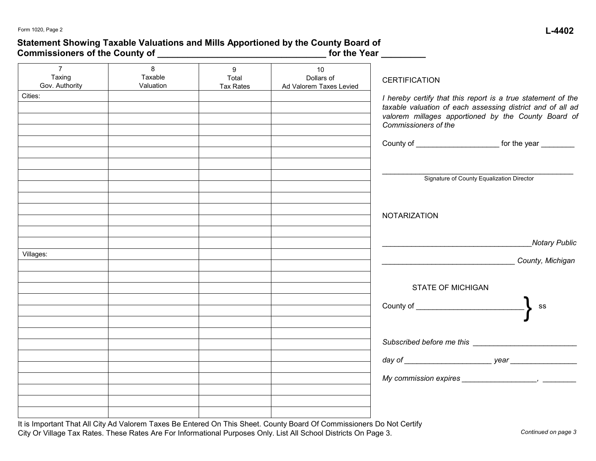### **Statement Showing Taxable Valuations and Mills Apportioned by the County Board of Commissioners of the County of \_\_\_\_\_\_\_\_\_\_\_\_\_\_\_\_\_\_\_\_\_\_\_\_\_\_\_\_\_\_\_\_\_\_ for the Year \_\_\_\_\_\_\_\_\_**

| $\overline{7}$<br>Taxing<br>Gov. Authority | 8<br>Taxable<br>Valuation | 9<br>Total<br><b>Tax Rates</b> | 10<br>Dollars of<br>Ad Valorem Taxes Levied | <b>CERTIFICATION</b>                                                                                                                                                                                      |
|--------------------------------------------|---------------------------|--------------------------------|---------------------------------------------|-----------------------------------------------------------------------------------------------------------------------------------------------------------------------------------------------------------|
| Cities:                                    |                           |                                |                                             | I hereby certify that this report is a true statement of the<br>taxable valuation of each assessing district and of all ad<br>valorem millages apportioned by the County Board of<br>Commissioners of the |
|                                            |                           |                                |                                             | County of ______________________________ for the year __________                                                                                                                                          |
|                                            |                           |                                |                                             | Signature of County Equalization Director                                                                                                                                                                 |
|                                            |                           |                                |                                             | <b>NOTARIZATION</b>                                                                                                                                                                                       |
|                                            |                           |                                |                                             | Notary Public                                                                                                                                                                                             |
| Villages:                                  |                           |                                |                                             | County, Michigan                                                                                                                                                                                          |
|                                            |                           |                                |                                             | <b>STATE OF MICHIGAN</b><br>ss                                                                                                                                                                            |
|                                            |                           |                                |                                             |                                                                                                                                                                                                           |
|                                            |                           |                                |                                             |                                                                                                                                                                                                           |
|                                            |                           |                                |                                             |                                                                                                                                                                                                           |
|                                            |                           |                                |                                             |                                                                                                                                                                                                           |
|                                            |                           |                                |                                             |                                                                                                                                                                                                           |

It is Important That All City Ad Valorem Taxes Be Entered On This Sheet. County Board Of Commissioners Do Not Certify City Or Village Tax Rates. These Rates Are For Informational Purposes Only. List All School Districts On Page 3.

*Continued on page 3*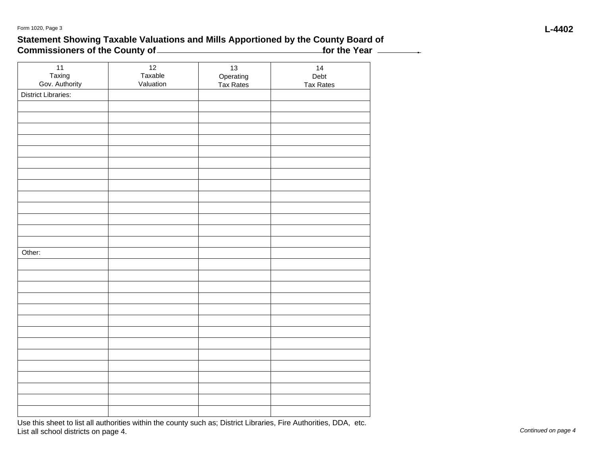## **Statement Showing Taxable Valuations and Mills Apportioned by the County Board of** Commissioners of the County of **contract the Year of the Year ... And The Year 2011**

| $11$                       | 12<br>Taxable | $13\,$                 | 14<br>Debt       |
|----------------------------|---------------|------------------------|------------------|
| Taxing<br>Gov. Authority   | Valuation     | Operating<br>Tax Rates | <b>Tax Rates</b> |
| <b>District Libraries:</b> |               |                        |                  |
|                            |               |                        |                  |
|                            |               |                        |                  |
|                            |               |                        |                  |
|                            |               |                        |                  |
|                            |               |                        |                  |
|                            |               |                        |                  |
|                            |               |                        |                  |
|                            |               |                        |                  |
|                            |               |                        |                  |
|                            |               |                        |                  |
|                            |               |                        |                  |
|                            |               |                        |                  |
|                            |               |                        |                  |
| Other:                     |               |                        |                  |
|                            |               |                        |                  |
|                            |               |                        |                  |
|                            |               |                        |                  |
|                            |               |                        |                  |
|                            |               |                        |                  |
|                            |               |                        |                  |
|                            |               |                        |                  |
|                            |               |                        |                  |
|                            |               |                        |                  |
|                            |               |                        |                  |
|                            |               |                        |                  |
|                            |               |                        |                  |
|                            |               |                        |                  |
|                            |               |                        |                  |

Use this sheet to list all authorities within the county such as; District Libraries, Fire Authorities, DDA, etc. List all school districts on page 4.